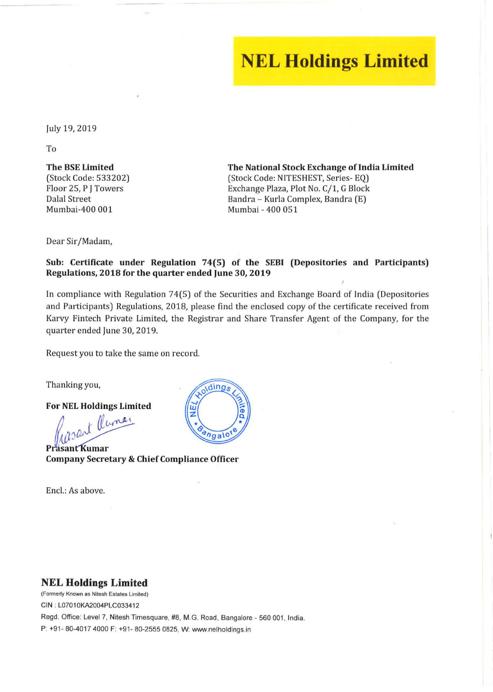## **NEL Holdings Limited**

July 19, 2019

To

The BSE Limited (Stock Code: 533202) Floor 25, P J Towers Dalal Street Mumbai-400 001

The National Stock Exchange of India Limited (Stock Code: NITESHEST, Series- EQ) Exchange Plaza, Plot No. C/1, G Block Bandra - Kurla Complex, Bandra (E) Mumbai - 400 051

Dear Sir/Madam,

## Sub: Certificate under Regulation 74(5) of the SEBI (Depositories and Participants) Regulations, 2018 for the quarter ended June 30, 2019

In compliance with Regulation 74(5) of the Securities and Exchange Board of India (Depositories and Participants) Regulations, 2018, please find the enclosed copy of the certificate received from Karvy Fintech Private Limited, the Registrar and Share Transfer Agent of the Company, for the quarter ended June 30, 2019.

Request you to take the same on record.

Thanking you,

For NEL Holdings Limited

Prazant Cluman

Company Secretary & Chief Compliance Officer

Encl.: As above.



## NEL Holdings Limited

(Formerly Known as Nitesh Estates Limited) CIN : L07010KA2004PLC033412 Regd. Office: Level 7. Nitesh Timesquare, #8, M.G. Road. Bangalore - *560 001 .* India. P: +91- *80-4017 4000* F: +91- *80-2555 0825.* W: www. nelhold ings.in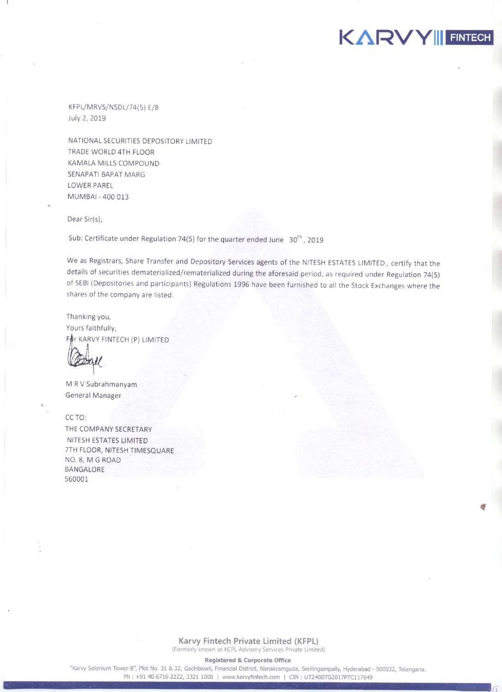KFPL/MRVS/NSDL/74(5) E/8 July 2, 2019

NATIONAL SECURITIES DEPOSITORY LIMITED TRADE WORLD 4TH FLOOR KAMALA MILLS COMPOUND SENAPATI BAPAT MARG LOWER PAREL MUMBAI - 400 013

Dear Sir(s),

Sub: Certificate under Regulation 74(5) for the quarter ended June 30<sup>th</sup>, 2019

We as Registrars, Share Transfer and Depository Services agents of the NITESH ESTATES LIMITED., certify that the details of securities dematerialized/rematerialized during the aforesaid period, as required under Regulation 74(5) of SEBI (Depositories and participants) Regulations 1996 have been furnished to all the Stock Exchanges where the shares of the company are listed.

KARVY FINTECH

Thanking you, Yours faithfully, For KARVY FINTECH (P) LIMITED

M R V Subrahmanyam General Manager

CC TO:

THE COMPANY SECRETARY NITESH ESTATES LIMITED 7TH FLOOR, NITESH TIMESQUARE NO. 8, M G ROAD BANGALORE 560001

> Karvy Fintech Private Limited (KFPL) (Formerly known as KCPL Advisory Services Private Limited)

> > Registered & Corporate Office

"Karvy Selenium Tower-B", Plot No. 31 & 32, Gachibowli, Financial District, Nanakramguda, Serilingampally, Hyderabad - 500032, Telangana. Ph: +91 40 6716 2222, 3321 1000 | www.karvyfintech.com | CIN: U72400TG2017PTC117649